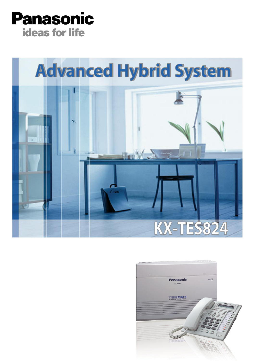



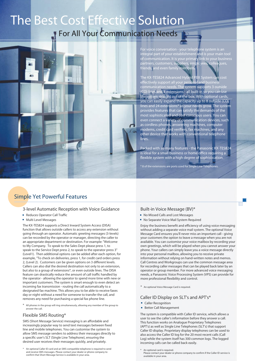# The Best Cost Effective Solution

# For All Your Communication Needs



For voice conversation - your telephone system is an integral part of your establishment and is your main tool of communication. It is your primary link to your business partners, customers, suppliers, employees, colleagues, friends, and even family members.

The KX-TES824 Advanced Hybrid PBX System can cost effectively support all your personal and busines communication needs. The system supports 3 outside (CO) lines and 8 extensions - all built-in so you can use the system straight out of the box. With optional cards, you can easily expand the capacity up to 8 outside (CO) lines and 24 extensions\* as your needs grow. The system provides features that can satisfy the demands of the most sophisticated and cost conscious users. You can even connect a variety of communication devices, such as cordless phones, answering machines, computer modems, credit card verifiers, fax machines, and any other device that works with conventional telephone lines.

Packed with so many features - the Panasonic KX-TES824 is ideal for a small business or home office requiring a flexible system with a high degree of sophistication.

\* 8 of the extensions are ports used for Single Line Telephones.

## Simple Yet Powerful Features

#### 3-level Automatic Reception with Voice Guidance

- Reduces Operator Call Traffic
- Multi Level Messages

The KX-TES824 supports a Direct Inward System Access (DISA) function that allows outside callers to access any extension without going through an operator. Automatic greeting messages (3-levels) can be recorded by the operator or manager, directing the caller to an appropriate department or destination. For example: "Welcome to My Company. To speak to the Sales Dept please press 1, to speak to the Service Dept press 2, to speak to the operator press 3" (Level1). Then additional options can be added after each option, for example, "To check on deliveries, press 1, for credit card orders press 2, (Level 2). Customers can be given options on 3 different levels. Callers can also dial the desired destination not only to an extension, but also to a group of extensions\*, or even outside lines. The DISA feature can drastically reduce the amount of call traffic handled by the operator - allowing the operator to spend more time with new or important customers. The system is smart enough to even detect an incoming fax transmission - routing the call automatically to a designated fax machine. This allows you to be able to receive faxes day or night without a need for someone to transfer the call, and removes any need for purchasing a special fax phone line.

\* All phones in the group will ring simultaneously, allowing any member of the group to answer the call.

#### Flexible SMS Routing\*

SMS (Short Message Service) messaging is an affordable and increasingly popular way to send text messages between fixed line and mobile telephones. You can customise the system to allow SMS message senders to address their messages directly to a specific user's SLT (Single Line Telephone), ensuring the desired user receives their messages quickly, and privately.

\* An optional Caller ID card and an SMS-compatible telephone is required to send and receive SMS messages. Please contact your dealer or phone company to confirm that Short Message Service is available in your area.

#### Built-in Voice Message (BV)\*

- No Missed Calls and Lost Messages
- No Separate Voice Mail System Required

Enjoy the business benefit and efficiency of using voice messaging without adding a separate voice mail system. The optional Voice Message Card ensures you'll never miss an important call - giving your customers the option to leave a message when you are not available. You can customise your voice mailbox by recording your own greetings, which will be played when you cannot answer your phone. Your callers can simply leave you a voice message directly into your personal mailbox, allowing you to receive private information without relying on hand-written notes and memos. Call Centres and Workgroups can use the common message area for recording caller messages that can be played back later by an operator or group member. For more advanced voice messaging needs, a Panasonic Voice Processing System (VPS) can provide for more professional flexibility and control.

\* An optional Voice Message Card is required.

#### Caller ID Display on SLT's and APT's\*

- **Caller Recognition**
- **Better Call Management**

The system is compatible with Caller ID service, which allows a user to see the caller's information before they answer a call. This function works on Analogue Proprietary Telephones (APT's) as well as Single Line Telephones (SLT's) that support Caller ID display. Proprietary display telephones can be used to also access the Caller ID log for the 20 most recent calls (Call Log) while the system itself has 300 common logs. The logged incoming calls can be called back easily.

- An optional card is required.
	- Please contact your dealer or phone company to confirm if the Caller ID service is available in your area.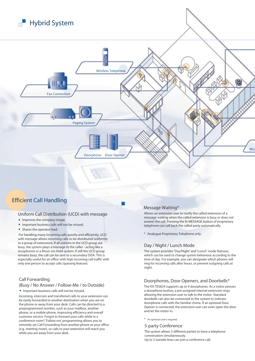

### Efficient Call Handling

#### Uniform Call Distribution (UCD) with message

- **Improves the company image.**
- **Important business calls will not be missed.**
- **Shares the operator load.**

For handling many incoming calls quickly and efficiently, UCD with message allows incoming calls to be distributed uniformly to a group of extensions. If all stations in the UCD group are busy, the system plays a message to the caller - acting like a receptionist or a Music-on-Hold system. If still the UCD group remains busy, the call can be sent to a secondary DISA. This is especially useful for an office with high incoming call traffic with only one person to accept calls (queuing feature).

#### Call Forwarding

#### (Busy / No Answer / Follow-Me / to Outside)

**Important business calls will not be missed.** 

Incoming, intercom and transferred calls to your extension can be easily forwarded to another destination when you are on the phone or away from your desk. Calls can be directed to a preprogrammed number, such as your mailbox, another phone, or a mobile phone, improving efficiency and overall customer service. Forgot to forward your calls while in a conference room? 'Follow me' programming allows you to remotely set Call Forwarding from another phone at your office (e.g. meeting room), so calls to your extension will reach you while you are away from your desk.

#### Message Waiting\*

Allows an extension user to notify the called extension of a message waiting when the called extension is busy or does not answer the call. Pressing the lit MESSAGE button of proprietary telephone can call back the called party automatically.

\* Analogue Proprietary Telephone only.

#### Day / Night / Lunch Mode

The system provides 'Day/Night' and 'Lunch' mode features, which can be used to change system behaviour according to the time of day. For example, you can designate which phones will ring for incoming calls after hours, or prevent outgoing calls at night.

#### Doorphones, Door Openers, and Doorbells\*

The KX-TES824 supports up to 4 doorphones. As a visitor presses a doorphone button, a pre-assigned internal extension rings allowing the extension user to talk to the visitor. Standard doorbells can also be connected to the system to indicate doorphone calls with the familiar chime. If an optional Door Opener is connected, the extension user can even open the door and let the visitor in.

\* An optional card is required.

#### 5-party Conference

The system allows 5 different parties to have a telephone conversation simultaneously. Up to 2 outside lines can join a conference call.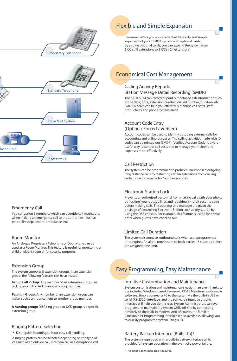

## Flexible and Simple Expansion

Panasonic offers you unprecedented flexibility and simple expansion of your TES824 system with optional cards. By adding optional cards, you can expand the system from 3 CO's / 8 extensions to 8 CO's / 24 extensions.

# Standard Telephone Voice Mail System Music on Hold **HHIIIII** Access to PC

#### Emergency Call

You can assign 5 numbers, which can override call restrictions when making an emergency call to the authorities - such as police, fire department, ambulance, etc.

#### Room Monitor

An Analogue Proprietary Telephone or Doorphone can be used as a Room Monitor. This feature is useful for monitoring a child or elder's room or for security purposes.

#### Extension Group

The system supports 8 extension groups. In an extension group, the following features can be activated.

**Group Call Pickup:** Any member of an extension group can pick up a call directed to another group number.

**Paging - Group:** Any member of an extension group can make a voice announcement to another group member.

**A hunting group:** DISA ring group or UCD group is a specific extension group.

#### Ringing Pattern Selection

**Distinguish incoming calls for easy call handling.** A ringing pattern can be selected depending on the type of

call such as an outside call, intercom call or a doorphone call.

# Economical Cost Management

#### Calling Activity Reports Station Message Detail Recording (SMDR)

The KX-TES824 can record or print out detailed call information such as the date, time, extension number, dialled number, duration, etc. SMDR records can help you effectively manage call costs, staff productivity and phone system usage.

#### Account Code Entry (Option / Forced / Verified)

Account codes can be used to identify outgoing external calls for accounting and billing purposes. The calling activities made with ID codes can be printed out (SMDR). 'Verified Account Code' is a very useful way to control call costs and to manage your telephone expenses more effectively.

#### Call Restriction

The system can be programmed to prohibit unauthorised outgoing long distance calls by restricting certain extensions from dialling certain specific area codes / exchange codes.

#### Electronic Station Lock

Prevents unauthorised personnel from making calls with your phone by 'locking' your outside lines and requiring a 4-digit security code before making calls. The operator and manager are given the privilege of controlling Electronic Station Lock at any station by using the DSS console. For example, this feature is useful for a small hotel when guests have checked out

#### Limited Call Duration

The system disconnects outbound calls when a preprogrammed time expires. An alarm tone is sent to both parties 15 seconds before the assigned time limit.

# Easy Programming, Easy Maintenance

#### Intuitive Customisation and Maintenance

System customisation and maintenance is easier than ever, thanks to the included Windows based Panasonic KX-TE Maintenance Console software. Simply connect a PC to the system via the built-in USB or serial (RS-232C) interface, and the software's intuitive graphic interface will help you do the rest. System Administrators can even program and maintain the system while off-site by connecting remotely to the built-in modem. And of course, the familiar Panasonic PT Programming interface is also available, allowing you to quickly program the system using a PT.

#### Battery Backup Interface (Built - In)\*

The system is equipped with a built-in battery interface which provides full system operation in the event of a power failure.

\* An optional connecting cable is required.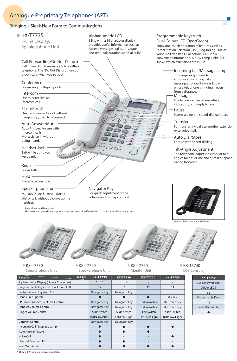# Analogue Proprietary Telephones (APT)

#### Bringing a Sleek New Form to Communications



- - ●

- ● ●

● ● ● ● - ●

Only a  $\phi$ 2.5mm pin jack is connectable.

Voice Call Headset Compatible\* Wall Mountable